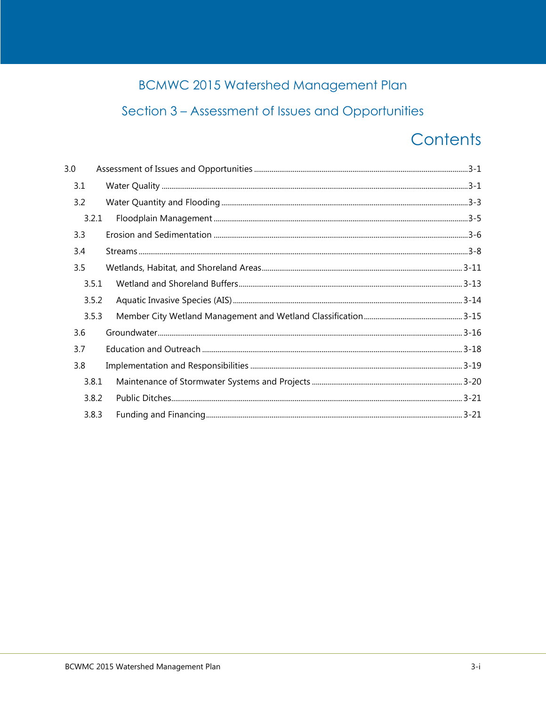## **BCMWC 2015 Watershed Management Plan**

## Section 3 - Assessment of Issues and Opportunities

# Contents

| 3.0   |  |
|-------|--|
| 3.1   |  |
| 3.2   |  |
| 3.2.1 |  |
| 3.3   |  |
| 3.4   |  |
| 3.5   |  |
| 3.5.1 |  |
| 3.5.2 |  |
| 3.5.3 |  |
| 3.6   |  |
| 3.7   |  |
| 3.8   |  |
| 3.8.1 |  |
| 3.8.2 |  |
| 3.8.3 |  |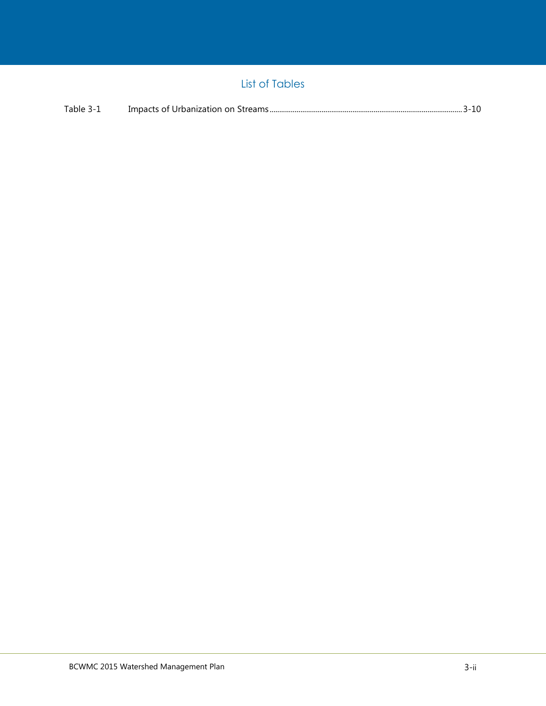### List of Tables

| Table 3-1 |  |  |  |
|-----------|--|--|--|
|-----------|--|--|--|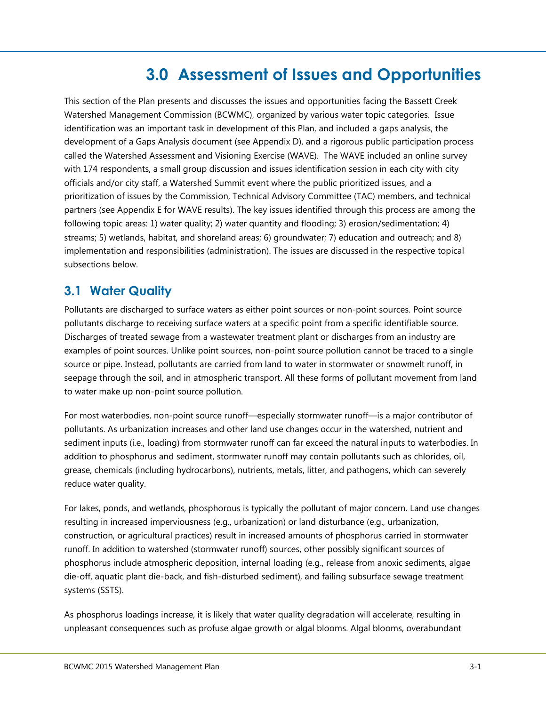## **3.0 Assessment of Issues and Opportunities**

<span id="page-2-0"></span>This section of the Plan presents and discusses the issues and opportunities facing the Bassett Creek Watershed Management Commission (BCWMC), organized by various water topic categories. Issue identification was an important task in development of this Plan, and included a gaps analysis, the development of a Gaps Analysis document (see Appendix D), and a rigorous public participation process called the Watershed Assessment and Visioning Exercise (WAVE). The WAVE included an online survey with 174 respondents, a small group discussion and issues identification session in each city with city officials and/or city staff, a Watershed Summit event where the public prioritized issues, and a prioritization of issues by the Commission, Technical Advisory Committee (TAC) members, and technical partners (see Appendix E for WAVE results). The key issues identified through this process are among the following topic areas: 1) water quality; 2) water quantity and flooding; 3) erosion/sedimentation; 4) streams; 5) wetlands, habitat, and shoreland areas; 6) groundwater; 7) education and outreach; and 8) implementation and responsibilities (administration). The issues are discussed in the respective topical subsections below.

## <span id="page-2-1"></span>**3.1 Water Quality**

Pollutants are discharged to surface waters as either point sources or non-point sources. Point source pollutants discharge to receiving surface waters at a specific point from a specific identifiable source. Discharges of treated sewage from a wastewater treatment plant or discharges from an industry are examples of point sources. Unlike point sources, non-point source pollution cannot be traced to a single source or pipe. Instead, pollutants are carried from land to water in stormwater or snowmelt runoff, in seepage through the soil, and in atmospheric transport. All these forms of pollutant movement from land to water make up non-point source pollution.

For most waterbodies, non-point source runoff—especially stormwater runoff—is a major contributor of pollutants. As urbanization increases and other land use changes occur in the watershed, nutrient and sediment inputs (i.e., loading) from stormwater runoff can far exceed the natural inputs to waterbodies. In addition to phosphorus and sediment, stormwater runoff may contain pollutants such as chlorides, oil, grease, chemicals (including hydrocarbons), nutrients, metals, litter, and pathogens, which can severely reduce water quality.

For lakes, ponds, and wetlands, phosphorous is typically the pollutant of major concern. Land use changes resulting in increased imperviousness (e.g., urbanization) or land disturbance (e.g., urbanization, construction, or agricultural practices) result in increased amounts of phosphorus carried in stormwater runoff. In addition to watershed (stormwater runoff) sources, other possibly significant sources of phosphorus include atmospheric deposition, internal loading (e.g., release from anoxic sediments, algae die-off, aquatic plant die-back, and fish-disturbed sediment), and failing subsurface sewage treatment systems (SSTS).

As phosphorus loadings increase, it is likely that water quality degradation will accelerate, resulting in unpleasant consequences such as profuse algae growth or algal blooms. Algal blooms, overabundant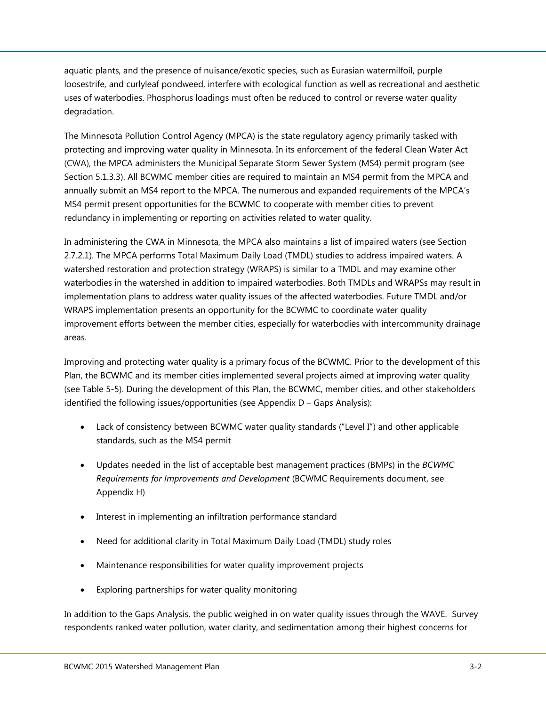aquatic plants, and the presence of nuisance/exotic species, such as Eurasian watermilfoil, purple loosestrife, and curlyleaf pondweed, interfere with ecological function as well as recreational and aesthetic uses of waterbodies. Phosphorus loadings must often be reduced to control or reverse water quality degradation.

The Minnesota Pollution Control Agency (MPCA) is the state regulatory agency primarily tasked with protecting and improving water quality in Minnesota. In its enforcement of the federal Clean Water Act (CWA), the MPCA administers the Municipal Separate Storm Sewer System (MS4) permit program (see Section 5.1.3.3). All BCWMC member cities are required to maintain an MS4 permit from the MPCA and annually submit an MS4 report to the MPCA. The numerous and expanded requirements of the MPCA's MS4 permit present opportunities for the BCWMC to cooperate with member cities to prevent redundancy in implementing or reporting on activities related to water quality.

In administering the CWA in Minnesota, the MPCA also maintains a list of impaired waters (see Section 2.7.2.1). The MPCA performs Total Maximum Daily Load (TMDL) studies to address impaired waters. A watershed restoration and protection strategy (WRAPS) is similar to a TMDL and may examine other waterbodies in the watershed in addition to impaired waterbodies. Both TMDLs and WRAPSs may result in implementation plans to address water quality issues of the affected waterbodies. Future TMDL and/or WRAPS implementation presents an opportunity for the BCWMC to coordinate water quality improvement efforts between the member cities, especially for waterbodies with intercommunity drainage areas.

Improving and protecting water quality is a primary focus of the BCWMC. Prior to the development of this Plan, the BCWMC and its member cities implemented several projects aimed at improving water quality (see Table 5-5). During the development of this Plan, the BCWMC, member cities, and other stakeholders identified the following issues/opportunities (see Appendix D – Gaps Analysis):

- Lack of consistency between BCWMC water quality standards ("Level I") and other applicable standards, such as the MS4 permit
- Updates needed in the list of acceptable best management practices (BMPs) in the *BCWMC Requirements for Improvements and Development* (BCWMC Requirements document, see Appendix H)
- Interest in implementing an infiltration performance standard
- Need for additional clarity in Total Maximum Daily Load (TMDL) study roles
- Maintenance responsibilities for water quality improvement projects
- Exploring partnerships for water quality monitoring

In addition to the Gaps Analysis, the public weighed in on water quality issues through the WAVE. Survey respondents ranked water pollution, water clarity, and sedimentation among their highest concerns for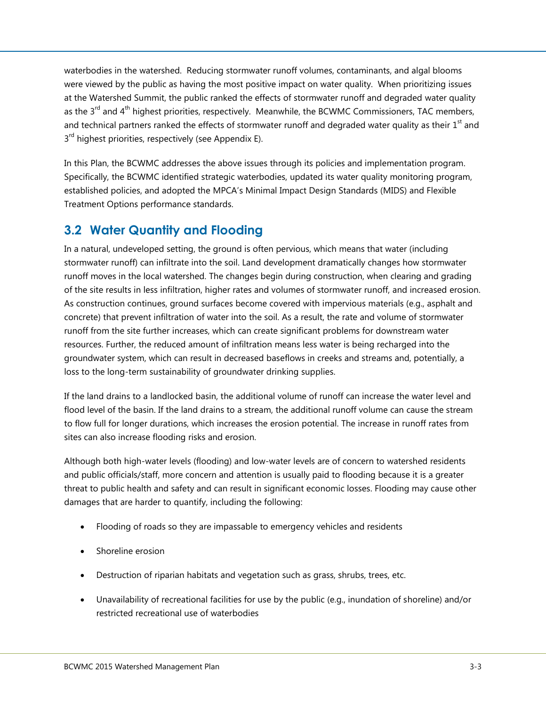waterbodies in the watershed. Reducing stormwater runoff volumes, contaminants, and algal blooms were viewed by the public as having the most positive impact on water quality. When prioritizing issues at the Watershed Summit, the public ranked the effects of stormwater runoff and degraded water quality as the  $3^{rd}$  and  $4^{th}$  highest priorities, respectively. Meanwhile, the BCWMC Commissioners, TAC members, and technical partners ranked the effects of stormwater runoff and degraded water quality as their  $1<sup>st</sup>$  and 3<sup>rd</sup> highest priorities, respectively (see Appendix E).

In this Plan, the BCWMC addresses the above issues through its policies and implementation program. Specifically, the BCWMC identified strategic waterbodies, updated its water quality monitoring program, established policies, and adopted the MPCA's Minimal Impact Design Standards (MIDS) and Flexible Treatment Options performance standards.

#### <span id="page-4-0"></span>**3.2 Water Quantity and Flooding**

In a natural, undeveloped setting, the ground is often pervious, which means that water (including stormwater runoff) can infiltrate into the soil. Land development dramatically changes how stormwater runoff moves in the local watershed. The changes begin during construction, when clearing and grading of the site results in less infiltration, higher rates and volumes of stormwater runoff, and increased erosion. As construction continues, ground surfaces become covered with impervious materials (e.g., asphalt and concrete) that prevent infiltration of water into the soil. As a result, the rate and volume of stormwater runoff from the site further increases, which can create significant problems for downstream water resources. Further, the reduced amount of infiltration means less water is being recharged into the groundwater system, which can result in decreased baseflows in creeks and streams and, potentially, a loss to the long-term sustainability of groundwater drinking supplies.

If the land drains to a landlocked basin, the additional volume of runoff can increase the water level and flood level of the basin. If the land drains to a stream, the additional runoff volume can cause the stream to flow full for longer durations, which increases the erosion potential. The increase in runoff rates from sites can also increase flooding risks and erosion.

Although both high-water levels (flooding) and low-water levels are of concern to watershed residents and public officials/staff, more concern and attention is usually paid to flooding because it is a greater threat to public health and safety and can result in significant economic losses. Flooding may cause other damages that are harder to quantify, including the following:

- Flooding of roads so they are impassable to emergency vehicles and residents
- Shoreline erosion
- Destruction of riparian habitats and vegetation such as grass, shrubs, trees, etc.
- Unavailability of recreational facilities for use by the public (e.g., inundation of shoreline) and/or restricted recreational use of waterbodies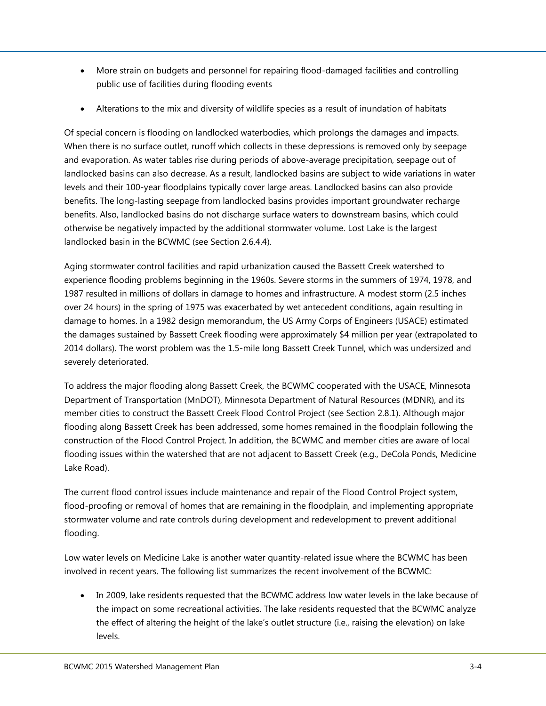- More strain on budgets and personnel for repairing flood-damaged facilities and controlling public use of facilities during flooding events
- Alterations to the mix and diversity of wildlife species as a result of inundation of habitats

Of special concern is flooding on landlocked waterbodies, which prolongs the damages and impacts. When there is no surface outlet, runoff which collects in these depressions is removed only by seepage and evaporation. As water tables rise during periods of above-average precipitation, seepage out of landlocked basins can also decrease. As a result, landlocked basins are subject to wide variations in water levels and their 100-year floodplains typically cover large areas. Landlocked basins can also provide benefits. The long-lasting seepage from landlocked basins provides important groundwater recharge benefits. Also, landlocked basins do not discharge surface waters to downstream basins, which could otherwise be negatively impacted by the additional stormwater volume. Lost Lake is the largest landlocked basin in the BCWMC (see Section 2.6.4.4).

Aging stormwater control facilities and rapid urbanization caused the Bassett Creek watershed to experience flooding problems beginning in the 1960s. Severe storms in the summers of 1974, 1978, and 1987 resulted in millions of dollars in damage to homes and infrastructure. A modest storm (2.5 inches over 24 hours) in the spring of 1975 was exacerbated by wet antecedent conditions, again resulting in damage to homes. In a 1982 design memorandum, the US Army Corps of Engineers (USACE) estimated the damages sustained by Bassett Creek flooding were approximately \$4 million per year (extrapolated to 2014 dollars). The worst problem was the 1.5-mile long Bassett Creek Tunnel, which was undersized and severely deteriorated.

To address the major flooding along Bassett Creek, the BCWMC cooperated with the USACE, Minnesota Department of Transportation (MnDOT), Minnesota Department of Natural Resources (MDNR), and its member cities to construct the Bassett Creek Flood Control Project (see Section 2.8.1). Although major flooding along Bassett Creek has been addressed, some homes remained in the floodplain following the construction of the Flood Control Project. In addition, the BCWMC and member cities are aware of local flooding issues within the watershed that are not adjacent to Bassett Creek (e.g., DeCola Ponds, Medicine Lake Road).

The current flood control issues include maintenance and repair of the Flood Control Project system, flood-proofing or removal of homes that are remaining in the floodplain, and implementing appropriate stormwater volume and rate controls during development and redevelopment to prevent additional flooding.

Low water levels on Medicine Lake is another water quantity-related issue where the BCWMC has been involved in recent years. The following list summarizes the recent involvement of the BCWMC:

• In 2009, lake residents requested that the BCWMC address low water levels in the lake because of the impact on some recreational activities. The lake residents requested that the BCWMC analyze the effect of altering the height of the lake's outlet structure (i.e., raising the elevation) on lake levels.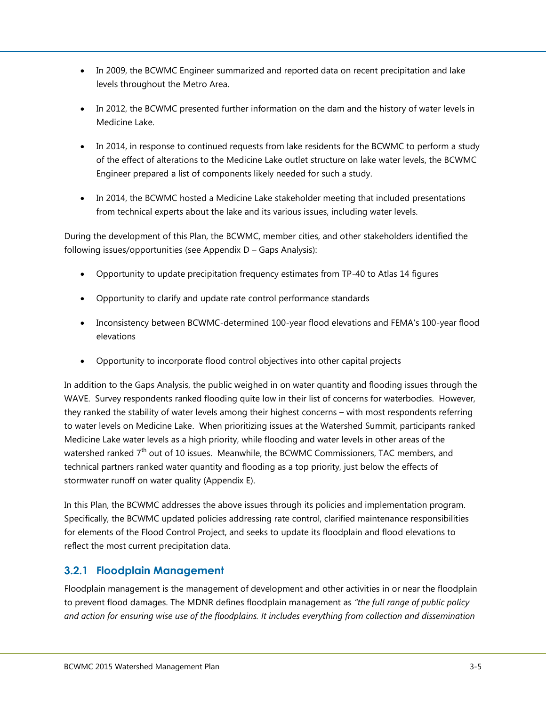- In 2009, the BCWMC Engineer summarized and reported data on recent precipitation and lake levels throughout the Metro Area.
- In 2012, the BCWMC presented further information on the dam and the history of water levels in Medicine Lake.
- In 2014, in response to continued requests from lake residents for the BCWMC to perform a study of the effect of alterations to the Medicine Lake outlet structure on lake water levels, the BCWMC Engineer prepared a list of components likely needed for such a study.
- In 2014, the BCWMC hosted a Medicine Lake stakeholder meeting that included presentations from technical experts about the lake and its various issues, including water levels.

During the development of this Plan, the BCWMC, member cities, and other stakeholders identified the following issues/opportunities (see Appendix D – Gaps Analysis):

- Opportunity to update precipitation frequency estimates from TP-40 to Atlas 14 figures
- Opportunity to clarify and update rate control performance standards
- Inconsistency between BCWMC-determined 100-year flood elevations and FEMA's 100-year flood elevations
- Opportunity to incorporate flood control objectives into other capital projects

In addition to the Gaps Analysis, the public weighed in on water quantity and flooding issues through the WAVE. Survey respondents ranked flooding quite low in their list of concerns for waterbodies. However, they ranked the stability of water levels among their highest concerns – with most respondents referring to water levels on Medicine Lake. When prioritizing issues at the Watershed Summit, participants ranked Medicine Lake water levels as a high priority, while flooding and water levels in other areas of the watershed ranked  $7<sup>th</sup>$  out of 10 issues. Meanwhile, the BCWMC Commissioners, TAC members, and technical partners ranked water quantity and flooding as a top priority, just below the effects of stormwater runoff on water quality (Appendix E).

In this Plan, the BCWMC addresses the above issues through its policies and implementation program. Specifically, the BCWMC updated policies addressing rate control, clarified maintenance responsibilities for elements of the Flood Control Project, and seeks to update its floodplain and flood elevations to reflect the most current precipitation data.

#### <span id="page-6-0"></span>**3.2.1 Floodplain Management**

Floodplain management is the management of development and other activities in or near the floodplain to prevent flood damages. The MDNR defines floodplain management as *"the full range of public policy and action for ensuring wise use of the floodplains. It includes everything from collection and dissemination*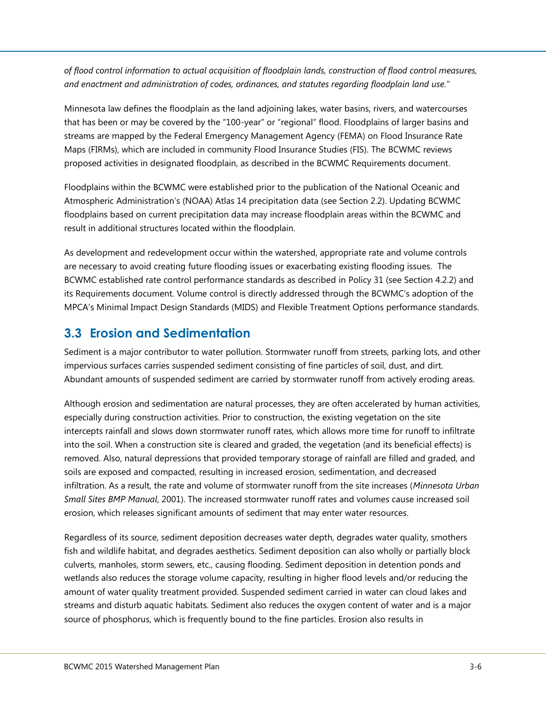*of flood control information to actual acquisition of floodplain lands, construction of flood control measures, and enactment and administration of codes, ordinances, and statutes regarding floodplain land use."*

Minnesota law defines the floodplain as the land adjoining lakes, water basins, rivers, and watercourses that has been or may be covered by the "100-year" or "regional" flood. Floodplains of larger basins and streams are mapped by the Federal Emergency Management Agency (FEMA) on Flood Insurance Rate Maps (FIRMs), which are included in community Flood Insurance Studies (FIS). The BCWMC reviews proposed activities in designated floodplain, as described in the BCWMC Requirements document.

Floodplains within the BCWMC were established prior to the publication of the National Oceanic and Atmospheric Administration's (NOAA) Atlas 14 precipitation data (see Section 2.2). Updating BCWMC floodplains based on current precipitation data may increase floodplain areas within the BCWMC and result in additional structures located within the floodplain.

As development and redevelopment occur within the watershed, appropriate rate and volume controls are necessary to avoid creating future flooding issues or exacerbating existing flooding issues. The BCWMC established rate control performance standards as described in Policy 31 (see Section 4.2.2) and its Requirements document. Volume control is directly addressed through the BCWMC's adoption of the MPCA's Minimal Impact Design Standards (MIDS) and Flexible Treatment Options performance standards.

## <span id="page-7-0"></span>**3.3 Erosion and Sedimentation**

Sediment is a major contributor to water pollution. Stormwater runoff from streets, parking lots, and other impervious surfaces carries suspended sediment consisting of fine particles of soil, dust, and dirt. Abundant amounts of suspended sediment are carried by stormwater runoff from actively eroding areas.

Although erosion and sedimentation are natural processes, they are often accelerated by human activities, especially during construction activities. Prior to construction, the existing vegetation on the site intercepts rainfall and slows down stormwater runoff rates, which allows more time for runoff to infiltrate into the soil. When a construction site is cleared and graded, the vegetation (and its beneficial effects) is removed. Also, natural depressions that provided temporary storage of rainfall are filled and graded, and soils are exposed and compacted, resulting in increased erosion, sedimentation, and decreased infiltration. As a result, the rate and volume of stormwater runoff from the site increases (*Minnesota Urban Small Sites BMP Manual*, 2001). The increased stormwater runoff rates and volumes cause increased soil erosion, which releases significant amounts of sediment that may enter water resources.

Regardless of its source, sediment deposition decreases water depth, degrades water quality, smothers fish and wildlife habitat, and degrades aesthetics. Sediment deposition can also wholly or partially block culverts, manholes, storm sewers, etc., causing flooding. Sediment deposition in detention ponds and wetlands also reduces the storage volume capacity, resulting in higher flood levels and/or reducing the amount of water quality treatment provided. Suspended sediment carried in water can cloud lakes and streams and disturb aquatic habitats. Sediment also reduces the oxygen content of water and is a major source of phosphorus, which is frequently bound to the fine particles. Erosion also results in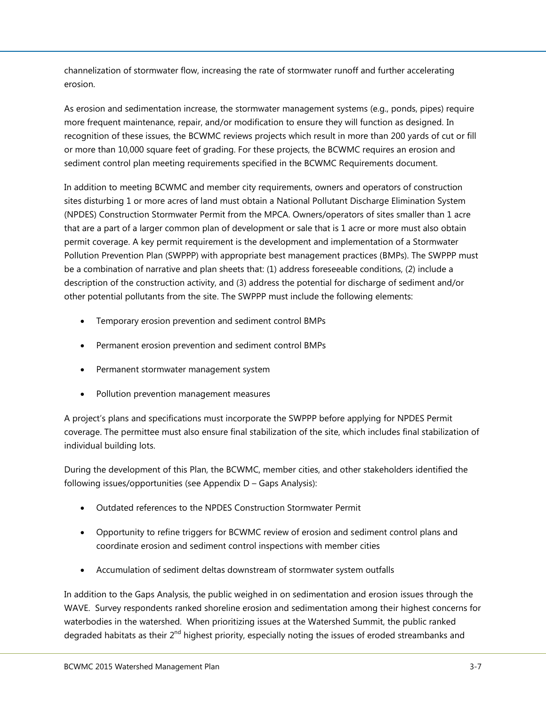channelization of stormwater flow, increasing the rate of stormwater runoff and further accelerating erosion.

As erosion and sedimentation increase, the stormwater management systems (e.g., ponds, pipes) require more frequent maintenance, repair, and/or modification to ensure they will function as designed. In recognition of these issues, the BCWMC reviews projects which result in more than 200 yards of cut or fill or more than 10,000 square feet of grading. For these projects, the BCWMC requires an erosion and sediment control plan meeting requirements specified in the BCWMC Requirements document.

In addition to meeting BCWMC and member city requirements, owners and operators of construction sites disturbing 1 or more acres of land must obtain a National Pollutant Discharge Elimination System (NPDES) Construction Stormwater Permit from the MPCA. Owners/operators of sites smaller than 1 acre that are a part of a larger common plan of development or sale that is 1 acre or more must also obtain permit coverage. A key permit requirement is the development and implementation of a Stormwater Pollution Prevention Plan (SWPPP) with appropriate best management practices (BMPs). The SWPPP must be a combination of narrative and plan sheets that: (1) address foreseeable conditions, (2) include a description of the construction activity, and (3) address the potential for discharge of sediment and/or other potential pollutants from the site. The SWPPP must include the following elements:

- Temporary erosion prevention and sediment control BMPs
- Permanent erosion prevention and sediment control BMPs
- Permanent stormwater management system
- Pollution prevention management measures

A project's plans and specifications must incorporate the SWPPP before applying for NPDES Permit coverage. The permittee must also ensure final stabilization of the site, which includes final stabilization of individual building lots.

During the development of this Plan, the BCWMC, member cities, and other stakeholders identified the following issues/opportunities (see Appendix D – Gaps Analysis):

- Outdated references to the NPDES Construction Stormwater Permit
- Opportunity to refine triggers for BCWMC review of erosion and sediment control plans and coordinate erosion and sediment control inspections with member cities
- Accumulation of sediment deltas downstream of stormwater system outfalls

In addition to the Gaps Analysis, the public weighed in on sedimentation and erosion issues through the WAVE. Survey respondents ranked shoreline erosion and sedimentation among their highest concerns for waterbodies in the watershed. When prioritizing issues at the Watershed Summit, the public ranked degraded habitats as their 2<sup>nd</sup> highest priority, especially noting the issues of eroded streambanks and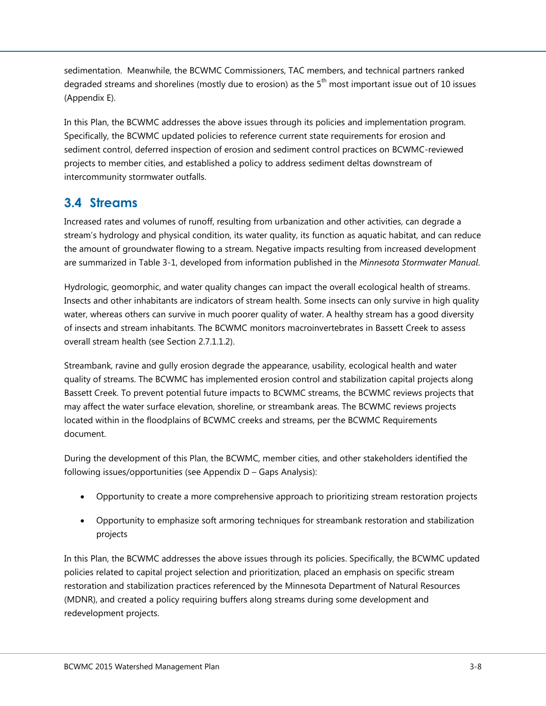sedimentation. Meanwhile, the BCWMC Commissioners, TAC members, and technical partners ranked degraded streams and shorelines (mostly due to erosion) as the  $5<sup>th</sup>$  most important issue out of 10 issues (Appendix E).

In this Plan, the BCWMC addresses the above issues through its policies and implementation program. Specifically, the BCWMC updated policies to reference current state requirements for erosion and sediment control, deferred inspection of erosion and sediment control practices on BCWMC-reviewed projects to member cities, and established a policy to address sediment deltas downstream of intercommunity stormwater outfalls.

## <span id="page-9-0"></span>**3.4 Streams**

Increased rates and volumes of runoff, resulting from urbanization and other activities, can degrade a stream's hydrology and physical condition, its water quality, its function as aquatic habitat, and can reduce the amount of groundwater flowing to a stream. Negative impacts resulting from increased development are summarized in [Table 3-1,](#page-10-0) developed from information published in the *Minnesota Stormwater Manual*.

Hydrologic, geomorphic, and water quality changes can impact the overall ecological health of streams. Insects and other inhabitants are indicators of stream health. Some insects can only survive in high quality water, whereas others can survive in much poorer quality of water. A healthy stream has a good diversity of insects and stream inhabitants. The BCWMC monitors macroinvertebrates in Bassett Creek to assess overall stream health (see Section 2.7.1.1.2).

Streambank, ravine and gully erosion degrade the appearance, usability, ecological health and water quality of streams. The BCWMC has implemented erosion control and stabilization capital projects along Bassett Creek. To prevent potential future impacts to BCWMC streams, the BCWMC reviews projects that may affect the water surface elevation, shoreline, or streambank areas. The BCWMC reviews projects located within in the floodplains of BCWMC creeks and streams, per the BCWMC Requirements document.

During the development of this Plan, the BCWMC, member cities, and other stakeholders identified the following issues/opportunities (see Appendix D – Gaps Analysis):

- Opportunity to create a more comprehensive approach to prioritizing stream restoration projects
- Opportunity to emphasize soft armoring techniques for streambank restoration and stabilization projects

In this Plan, the BCWMC addresses the above issues through its policies. Specifically, the BCWMC updated policies related to capital project selection and prioritization, placed an emphasis on specific stream restoration and stabilization practices referenced by the Minnesota Department of Natural Resources (MDNR), and created a policy requiring buffers along streams during some development and redevelopment projects.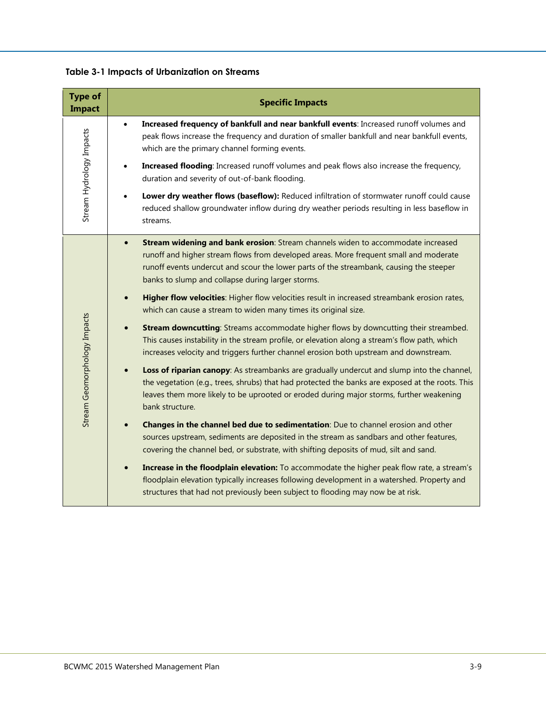<span id="page-10-0"></span>

|  | <b>Table 3-1 Impacts of Urbanization on Streams</b> |  |
|--|-----------------------------------------------------|--|
|  |                                                     |  |

| <b>Type of</b><br><b>Impact</b> | <b>Specific Impacts</b>                                                                                                                                                                                                                                                                                                                |
|---------------------------------|----------------------------------------------------------------------------------------------------------------------------------------------------------------------------------------------------------------------------------------------------------------------------------------------------------------------------------------|
| Stream Hydrology Impacts        | Increased frequency of bankfull and near bankfull events: Increased runoff volumes and<br>$\bullet$<br>peak flows increase the frequency and duration of smaller bankfull and near bankfull events,<br>which are the primary channel forming events.                                                                                   |
|                                 | <b>Increased flooding:</b> Increased runoff volumes and peak flows also increase the frequency,<br>duration and severity of out-of-bank flooding.                                                                                                                                                                                      |
|                                 | Lower dry weather flows (baseflow): Reduced infiltration of stormwater runoff could cause<br>reduced shallow groundwater inflow during dry weather periods resulting in less baseflow in<br>streams.                                                                                                                                   |
| Stream Geomorphology Impacts    | Stream widening and bank erosion: Stream channels widen to accommodate increased<br>$\bullet$<br>runoff and higher stream flows from developed areas. More frequent small and moderate<br>runoff events undercut and scour the lower parts of the streambank, causing the steeper<br>banks to slump and collapse during larger storms. |
|                                 | Higher flow velocities: Higher flow velocities result in increased streambank erosion rates,<br>$\bullet$<br>which can cause a stream to widen many times its original size.                                                                                                                                                           |
|                                 | <b>Stream downcutting:</b> Streams accommodate higher flows by downcutting their streambed.<br>This causes instability in the stream profile, or elevation along a stream's flow path, which<br>increases velocity and triggers further channel erosion both upstream and downstream.                                                  |
|                                 | Loss of riparian canopy: As streambanks are gradually undercut and slump into the channel,<br>the vegetation (e.g., trees, shrubs) that had protected the banks are exposed at the roots. This<br>leaves them more likely to be uprooted or eroded during major storms, further weakening<br>bank structure.                           |
|                                 | Changes in the channel bed due to sedimentation: Due to channel erosion and other<br>sources upstream, sediments are deposited in the stream as sandbars and other features,<br>covering the channel bed, or substrate, with shifting deposits of mud, silt and sand.                                                                  |
|                                 | Increase in the floodplain elevation: To accommodate the higher peak flow rate, a stream's<br>floodplain elevation typically increases following development in a watershed. Property and<br>structures that had not previously been subject to flooding may now be at risk.                                                           |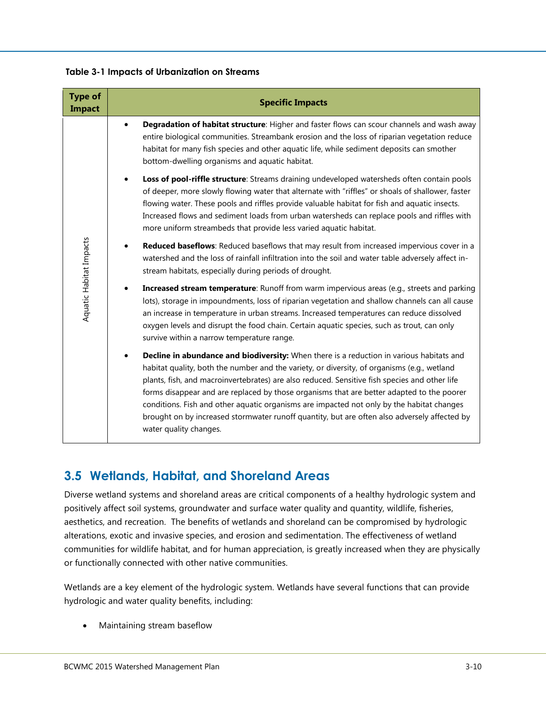**Table 3-1 Impacts of Urbanization on Streams**

| <b>Type of</b><br><b>Impact</b> | <b>Specific Impacts</b>                                                                                                                                                                                                                                                                                                                                                                                                                                                                                                                                                                                      |
|---------------------------------|--------------------------------------------------------------------------------------------------------------------------------------------------------------------------------------------------------------------------------------------------------------------------------------------------------------------------------------------------------------------------------------------------------------------------------------------------------------------------------------------------------------------------------------------------------------------------------------------------------------|
| Aquatic Habitat Impacts         | Degradation of habitat structure: Higher and faster flows can scour channels and wash away<br>$\bullet$<br>entire biological communities. Streambank erosion and the loss of riparian vegetation reduce<br>habitat for many fish species and other aquatic life, while sediment deposits can smother<br>bottom-dwelling organisms and aquatic habitat.                                                                                                                                                                                                                                                       |
|                                 | Loss of pool-riffle structure: Streams draining undeveloped watersheds often contain pools<br>of deeper, more slowly flowing water that alternate with "riffles" or shoals of shallower, faster<br>flowing water. These pools and riffles provide valuable habitat for fish and aquatic insects.<br>Increased flows and sediment loads from urban watersheds can replace pools and riffles with<br>more uniform streambeds that provide less varied aquatic habitat.                                                                                                                                         |
|                                 | Reduced baseflows: Reduced baseflows that may result from increased impervious cover in a<br>watershed and the loss of rainfall infiltration into the soil and water table adversely affect in-<br>stream habitats, especially during periods of drought.                                                                                                                                                                                                                                                                                                                                                    |
|                                 | Increased stream temperature: Runoff from warm impervious areas (e.g., streets and parking<br>lots), storage in impoundments, loss of riparian vegetation and shallow channels can all cause<br>an increase in temperature in urban streams. Increased temperatures can reduce dissolved<br>oxygen levels and disrupt the food chain. Certain aquatic species, such as trout, can only<br>survive within a narrow temperature range.                                                                                                                                                                         |
|                                 | Decline in abundance and biodiversity: When there is a reduction in various habitats and<br>habitat quality, both the number and the variety, or diversity, of organisms (e.g., wetland<br>plants, fish, and macroinvertebrates) are also reduced. Sensitive fish species and other life<br>forms disappear and are replaced by those organisms that are better adapted to the poorer<br>conditions. Fish and other aquatic organisms are impacted not only by the habitat changes<br>brought on by increased stormwater runoff quantity, but are often also adversely affected by<br>water quality changes. |

### <span id="page-11-0"></span>**3.5 Wetlands, Habitat, and Shoreland Areas**

Diverse wetland systems and shoreland areas are critical components of a healthy hydrologic system and positively affect soil systems, groundwater and surface water quality and quantity, wildlife, fisheries, aesthetics, and recreation. The benefits of wetlands and shoreland can be compromised by hydrologic alterations, exotic and invasive species, and erosion and sedimentation. The effectiveness of wetland communities for wildlife habitat, and for human appreciation, is greatly increased when they are physically or functionally connected with other native communities.

Wetlands are a key element of the hydrologic system. Wetlands have several functions that can provide hydrologic and water quality benefits, including:

Maintaining stream baseflow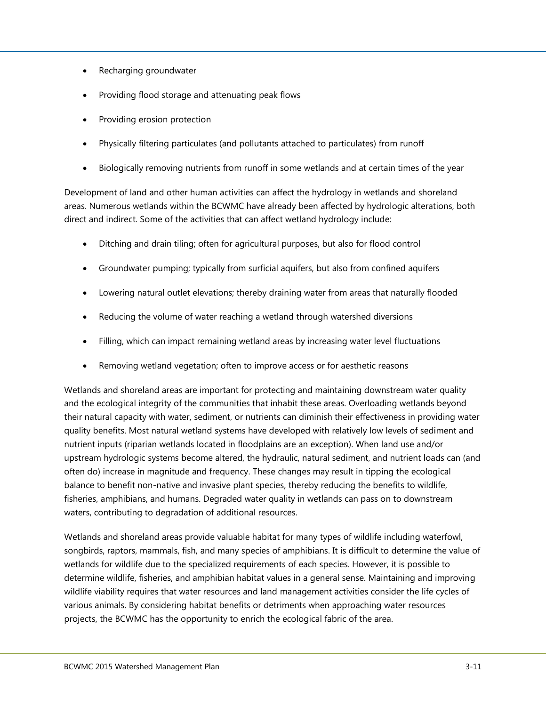- Recharging groundwater
- Providing flood storage and attenuating peak flows
- Providing erosion protection
- Physically filtering particulates (and pollutants attached to particulates) from runoff
- Biologically removing nutrients from runoff in some wetlands and at certain times of the year

Development of land and other human activities can affect the hydrology in wetlands and shoreland areas. Numerous wetlands within the BCWMC have already been affected by hydrologic alterations, both direct and indirect. Some of the activities that can affect wetland hydrology include:

- Ditching and drain tiling; often for agricultural purposes, but also for flood control
- Groundwater pumping; typically from surficial aquifers, but also from confined aquifers
- Lowering natural outlet elevations; thereby draining water from areas that naturally flooded
- Reducing the volume of water reaching a wetland through watershed diversions
- Filling, which can impact remaining wetland areas by increasing water level fluctuations
- Removing wetland vegetation; often to improve access or for aesthetic reasons

Wetlands and shoreland areas are important for protecting and maintaining downstream water quality and the ecological integrity of the communities that inhabit these areas. Overloading wetlands beyond their natural capacity with water, sediment, or nutrients can diminish their effectiveness in providing water quality benefits. Most natural wetland systems have developed with relatively low levels of sediment and nutrient inputs (riparian wetlands located in floodplains are an exception). When land use and/or upstream hydrologic systems become altered, the hydraulic, natural sediment, and nutrient loads can (and often do) increase in magnitude and frequency. These changes may result in tipping the ecological balance to benefit non-native and invasive plant species, thereby reducing the benefits to wildlife, fisheries, amphibians, and humans. Degraded water quality in wetlands can pass on to downstream waters, contributing to degradation of additional resources.

Wetlands and shoreland areas provide valuable habitat for many types of wildlife including waterfowl, songbirds, raptors, mammals, fish, and many species of amphibians. It is difficult to determine the value of wetlands for wildlife due to the specialized requirements of each species. However, it is possible to determine wildlife, fisheries, and amphibian habitat values in a general sense. Maintaining and improving wildlife viability requires that water resources and land management activities consider the life cycles of various animals. By considering habitat benefits or detriments when approaching water resources projects, the BCWMC has the opportunity to enrich the ecological fabric of the area.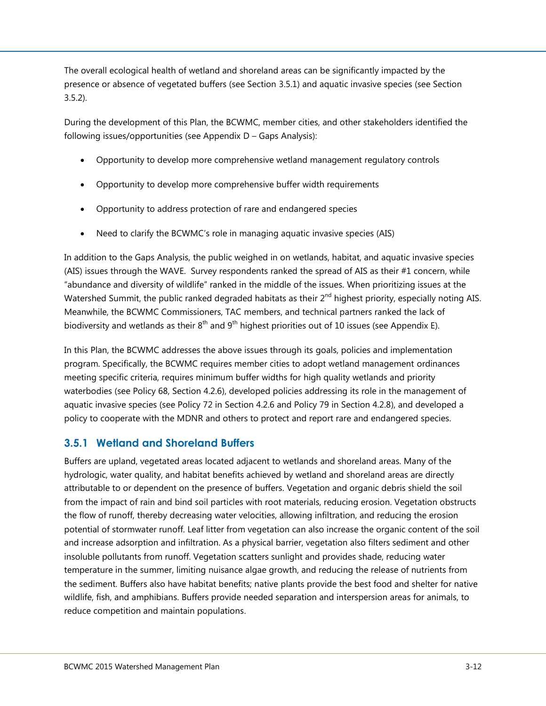The overall ecological health of wetland and shoreland areas can be significantly impacted by the presence or absence of vegetated buffers (see Section [3.5.1\)](#page-13-0) and aquatic invasive species (see Section [3.5.2\)](#page-14-0).

During the development of this Plan, the BCWMC, member cities, and other stakeholders identified the following issues/opportunities (see Appendix D – Gaps Analysis):

- Opportunity to develop more comprehensive wetland management regulatory controls
- Opportunity to develop more comprehensive buffer width requirements
- Opportunity to address protection of rare and endangered species
- Need to clarify the BCWMC's role in managing aquatic invasive species (AIS)

In addition to the Gaps Analysis, the public weighed in on wetlands, habitat, and aquatic invasive species (AIS) issues through the WAVE. Survey respondents ranked the spread of AIS as their #1 concern, while "abundance and diversity of wildlife" ranked in the middle of the issues. When prioritizing issues at the Watershed Summit, the public ranked degraded habitats as their 2<sup>nd</sup> highest priority, especially noting AIS. Meanwhile, the BCWMC Commissioners, TAC members, and technical partners ranked the lack of biodiversity and wetlands as their  $8^{th}$  and  $9^{th}$  highest priorities out of 10 issues (see Appendix E).

In this Plan, the BCWMC addresses the above issues through its goals, policies and implementation program. Specifically, the BCWMC requires member cities to adopt wetland management ordinances meeting specific criteria, requires minimum buffer widths for high quality wetlands and priority waterbodies (see Policy 68, Section 4.2.6), developed policies addressing its role in the management of aquatic invasive species (see Policy 72 in Section 4.2.6 and Policy 79 in Section 4.2.8), and developed a policy to cooperate with the MDNR and others to protect and report rare and endangered species.

#### <span id="page-13-0"></span>**3.5.1 Wetland and Shoreland Buffers**

Buffers are upland, vegetated areas located adjacent to wetlands and shoreland areas. Many of the hydrologic, water quality, and habitat benefits achieved by wetland and shoreland areas are directly attributable to or dependent on the presence of buffers. Vegetation and organic debris shield the soil from the impact of rain and bind soil particles with root materials, reducing erosion. Vegetation obstructs the flow of runoff, thereby decreasing water velocities, allowing infiltration, and reducing the erosion potential of stormwater runoff. Leaf litter from vegetation can also increase the organic content of the soil and increase adsorption and infiltration. As a physical barrier, vegetation also filters sediment and other insoluble pollutants from runoff. Vegetation scatters sunlight and provides shade, reducing water temperature in the summer, limiting nuisance algae growth, and reducing the release of nutrients from the sediment. Buffers also have habitat benefits; native plants provide the best food and shelter for native wildlife, fish, and amphibians. Buffers provide needed separation and interspersion areas for animals, to reduce competition and maintain populations.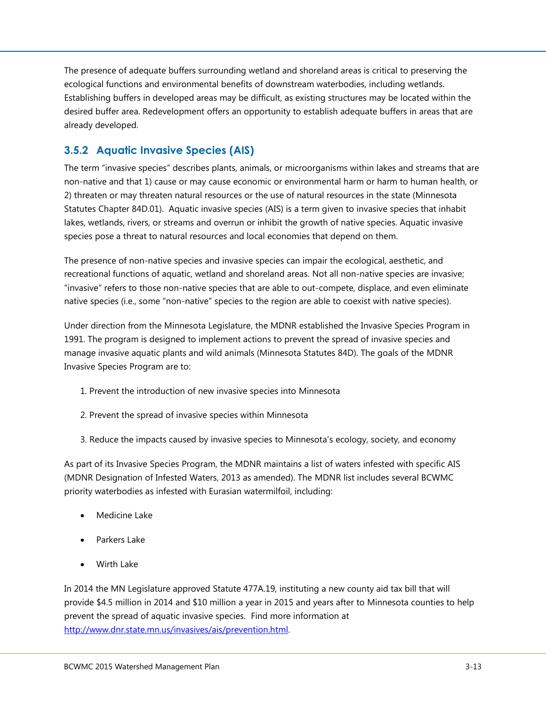The presence of adequate buffers surrounding wetland and shoreland areas is critical to preserving the ecological functions and environmental benefits of downstream waterbodies, including wetlands. Establishing buffers in developed areas may be difficult, as existing structures may be located within the desired buffer area. Redevelopment offers an opportunity to establish adequate buffers in areas that are already developed.

#### <span id="page-14-0"></span>**3.5.2 Aquatic Invasive Species (AIS)**

The term "invasive species" describes plants, animals, or microorganisms within lakes and streams that are non-native and that 1) cause or may cause economic or environmental harm or harm to human health, or 2) threaten or may threaten natural resources or the use of natural resources in the state (Minnesota Statutes Chapter 84D.01). Aquatic invasive species (AIS) is a term given to invasive species that inhabit lakes, wetlands, rivers, or streams and overrun or inhibit the growth of native species. Aquatic invasive species pose a threat to natural resources and local economies that depend on them.

The presence of non-native species and invasive species can impair the ecological, aesthetic, and recreational functions of aquatic, wetland and shoreland areas. Not all non-native species are invasive; "invasive" refers to those non-native species that are able to out-compete, displace, and even eliminate native species (i.e., some "non-native" species to the region are able to coexist with native species).

Under direction from the Minnesota Legislature, the MDNR established the Invasive Species Program in 1991. The program is designed to implement actions to prevent the spread of invasive species and manage invasive aquatic plants and wild animals (Minnesota Statutes 84D). The goals of the MDNR Invasive Species Program are to:

- 1. Prevent the introduction of new invasive species into Minnesota
- 2. Prevent the spread of invasive species within Minnesota
- 3. Reduce the impacts caused by invasive species to Minnesota's ecology, society, and economy

As part of its Invasive Species Program, the MDNR maintains a list of waters infested with specific AIS (MDNR Designation of Infested Waters, 2013 as amended). The MDNR list includes several BCWMC priority waterbodies as infested with Eurasian watermilfoil, including:

- Medicine Lake
- Parkers Lake
- Wirth Lake

In 2014 the MN Legislature approved Statute 477A.19, instituting a new county aid tax bill that will provide \$4.5 million in 2014 and \$10 million a year in 2015 and years after to Minnesota counties to help prevent the spread of aquatic invasive species. Find more information at [http://www.dnr.state.mn.us/invasives/ais/prevention.html.](http://www.dnr.state.mn.us/invasives/ais/prevention.html)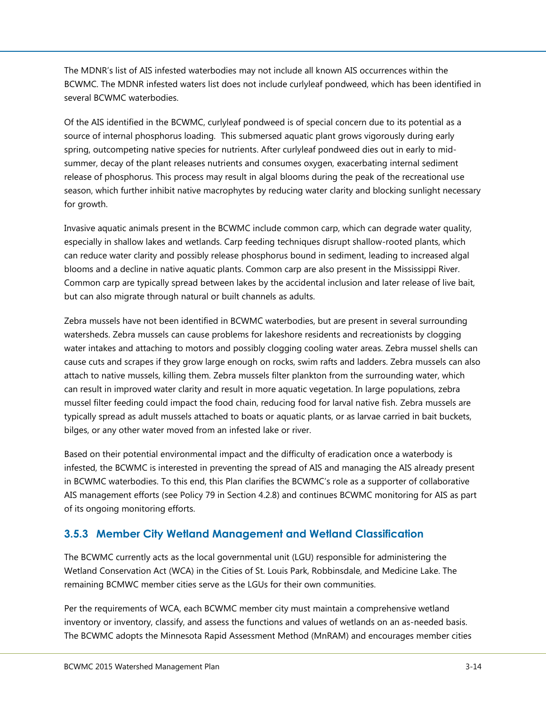The MDNR's list of AIS infested waterbodies may not include all known AIS occurrences within the BCWMC. The MDNR infested waters list does not include curlyleaf pondweed, which has been identified in several BCWMC waterbodies.

Of the AIS identified in the BCWMC, curlyleaf pondweed is of special concern due to its potential as a source of internal phosphorus loading. This submersed aquatic plant grows vigorously during early spring, outcompeting native species for nutrients. After curlyleaf pondweed dies out in early to midsummer, decay of the plant releases nutrients and consumes oxygen, exacerbating internal sediment release of phosphorus. This process may result in algal blooms during the peak of the recreational use season, which further inhibit native macrophytes by reducing water clarity and blocking sunlight necessary for growth.

Invasive aquatic animals present in the BCWMC include common carp, which can degrade water quality, especially in shallow lakes and wetlands. Carp feeding techniques disrupt shallow-rooted plants, which can reduce water clarity and possibly release phosphorus bound in sediment, leading to increased algal blooms and a decline in native aquatic plants. Common carp are also present in the Mississippi River. Common carp are typically spread between lakes by the accidental inclusion and later release of live bait, but can also migrate through natural or built channels as adults.

Zebra mussels have not been identified in BCWMC waterbodies, but are present in several surrounding watersheds. Zebra mussels can cause problems for lakeshore residents and recreationists by clogging water intakes and attaching to motors and possibly clogging cooling water areas. Zebra mussel shells can cause cuts and scrapes if they grow large enough on rocks, swim rafts and ladders. Zebra mussels can also attach to native mussels, killing them. Zebra mussels filter plankton from the surrounding water, which can result in improved water clarity and result in more aquatic vegetation. In large populations, zebra mussel filter feeding could impact the food chain, reducing food for larval native fish. Zebra mussels are typically spread as adult mussels attached to boats or aquatic plants, or as larvae carried in bait buckets, bilges, or any other water moved from an infested lake or river.

Based on their potential environmental impact and the difficulty of eradication once a waterbody is infested, the BCWMC is interested in preventing the spread of AIS and managing the AIS already present in BCWMC waterbodies. To this end, this Plan clarifies the BCWMC's role as a supporter of collaborative AIS management efforts (see Policy 79 in Section 4.2.8) and continues BCWMC monitoring for AIS as part of its ongoing monitoring efforts.

#### <span id="page-15-0"></span>**3.5.3 Member City Wetland Management and Wetland Classification**

The BCWMC currently acts as the local governmental unit (LGU) responsible for administering the Wetland Conservation Act (WCA) in the Cities of St. Louis Park, Robbinsdale, and Medicine Lake. The remaining BCMWC member cities serve as the LGUs for their own communities.

Per the requirements of WCA, each BCWMC member city must maintain a comprehensive wetland inventory or inventory, classify, and assess the functions and values of wetlands on an as-needed basis. The BCWMC adopts the Minnesota Rapid Assessment Method (MnRAM) and encourages member cities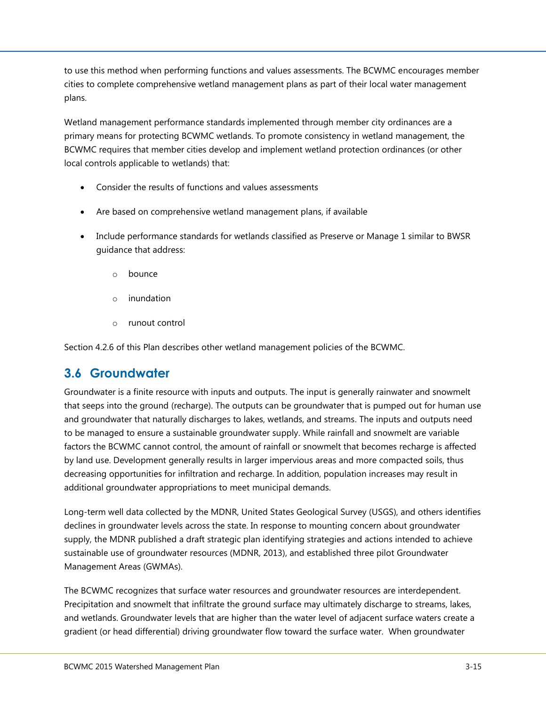to use this method when performing functions and values assessments. The BCWMC encourages member cities to complete comprehensive wetland management plans as part of their local water management plans.

Wetland management performance standards implemented through member city ordinances are a primary means for protecting BCWMC wetlands. To promote consistency in wetland management, the BCWMC requires that member cities develop and implement wetland protection ordinances (or other local controls applicable to wetlands) that:

- Consider the results of functions and values assessments
- Are based on comprehensive wetland management plans, if available
- Include performance standards for wetlands classified as Preserve or Manage 1 similar to BWSR guidance that address:
	- o bounce
	- o inundation
	- o runout control

Section 4.2.6 of this Plan describes other wetland management policies of the BCWMC.

### <span id="page-16-0"></span>**3.6 Groundwater**

Groundwater is a finite resource with inputs and outputs. The input is generally rainwater and snowmelt that seeps into the ground (recharge). The outputs can be groundwater that is pumped out for human use and groundwater that naturally discharges to lakes, wetlands, and streams. The inputs and outputs need to be managed to ensure a sustainable groundwater supply. While rainfall and snowmelt are variable factors the BCWMC cannot control, the amount of rainfall or snowmelt that becomes recharge is affected by land use. Development generally results in larger impervious areas and more compacted soils, thus decreasing opportunities for infiltration and recharge. In addition, population increases may result in additional groundwater appropriations to meet municipal demands.

Long-term well data collected by the MDNR, United States Geological Survey (USGS), and others identifies declines in groundwater levels across the state. In response to mounting concern about groundwater supply, the MDNR published a draft strategic plan identifying strategies and actions intended to achieve sustainable use of groundwater resources (MDNR, 2013), and established three pilot Groundwater Management Areas (GWMAs).

The BCWMC recognizes that surface water resources and groundwater resources are interdependent. Precipitation and snowmelt that infiltrate the ground surface may ultimately discharge to streams, lakes, and wetlands. Groundwater levels that are higher than the water level of adjacent surface waters create a gradient (or head differential) driving groundwater flow toward the surface water. When groundwater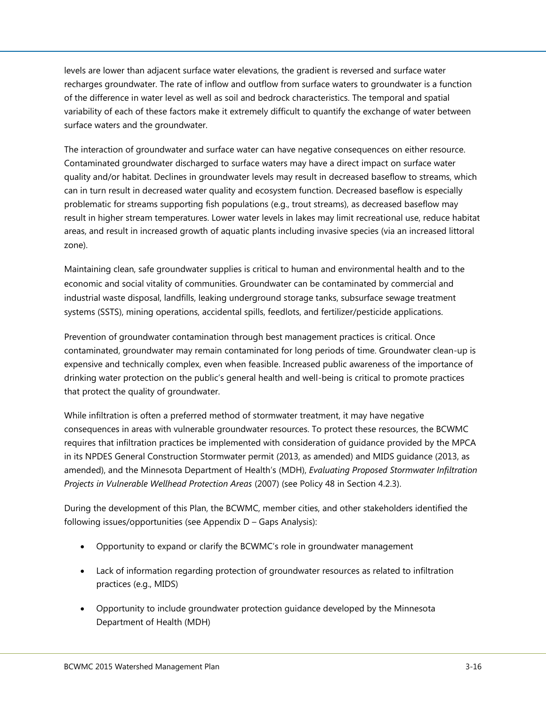levels are lower than adjacent surface water elevations, the gradient is reversed and surface water recharges groundwater. The rate of inflow and outflow from surface waters to groundwater is a function of the difference in water level as well as soil and bedrock characteristics. The temporal and spatial variability of each of these factors make it extremely difficult to quantify the exchange of water between surface waters and the groundwater.

The interaction of groundwater and surface water can have negative consequences on either resource. Contaminated groundwater discharged to surface waters may have a direct impact on surface water quality and/or habitat. Declines in groundwater levels may result in decreased baseflow to streams, which can in turn result in decreased water quality and ecosystem function. Decreased baseflow is especially problematic for streams supporting fish populations (e.g., trout streams), as decreased baseflow may result in higher stream temperatures. Lower water levels in lakes may limit recreational use, reduce habitat areas, and result in increased growth of aquatic plants including invasive species (via an increased littoral zone).

Maintaining clean, safe groundwater supplies is critical to human and environmental health and to the economic and social vitality of communities. Groundwater can be contaminated by commercial and industrial waste disposal, landfills, leaking underground storage tanks, subsurface sewage treatment systems (SSTS), mining operations, accidental spills, feedlots, and fertilizer/pesticide applications.

Prevention of groundwater contamination through best management practices is critical. Once contaminated, groundwater may remain contaminated for long periods of time. Groundwater clean-up is expensive and technically complex, even when feasible. Increased public awareness of the importance of drinking water protection on the public's general health and well-being is critical to promote practices that protect the quality of groundwater.

While infiltration is often a preferred method of stormwater treatment, it may have negative consequences in areas with vulnerable groundwater resources. To protect these resources, the BCWMC requires that infiltration practices be implemented with consideration of guidance provided by the MPCA in its NPDES General Construction Stormwater permit (2013, as amended) and MIDS guidance (2013, as amended), and the Minnesota Department of Health's (MDH), *Evaluating Proposed Stormwater Infiltration Projects in Vulnerable Wellhead Protection Areas* (2007) (see Policy 48 in Section 4.2.3).

During the development of this Plan, the BCWMC, member cities, and other stakeholders identified the following issues/opportunities (see Appendix D – Gaps Analysis):

- Opportunity to expand or clarify the BCWMC's role in groundwater management
- Lack of information regarding protection of groundwater resources as related to infiltration practices (e.g., MIDS)
- Opportunity to include groundwater protection guidance developed by the Minnesota Department of Health (MDH)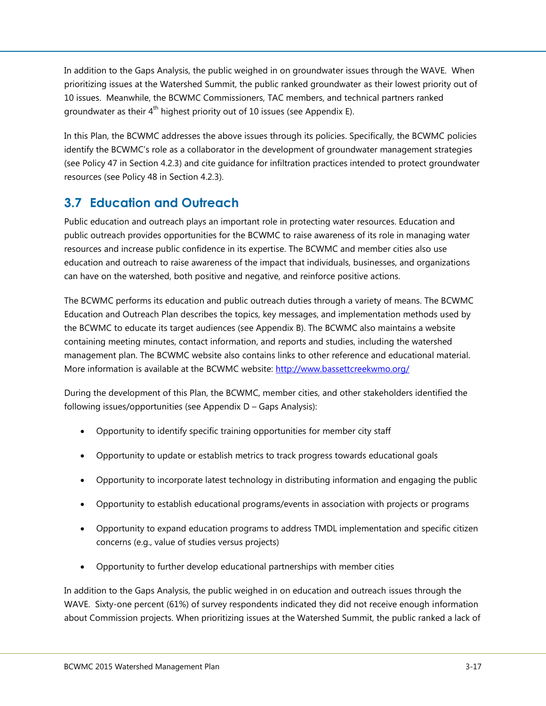In addition to the Gaps Analysis, the public weighed in on groundwater issues through the WAVE. When prioritizing issues at the Watershed Summit, the public ranked groundwater as their lowest priority out of 10 issues. Meanwhile, the BCWMC Commissioners, TAC members, and technical partners ranked groundwater as their 4<sup>th</sup> highest priority out of 10 issues (see Appendix E).

In this Plan, the BCWMC addresses the above issues through its policies. Specifically, the BCWMC policies identify the BCWMC's role as a collaborator in the development of groundwater management strategies (see Policy 47 in Section 4.2.3) and cite guidance for infiltration practices intended to protect groundwater resources (see Policy 48 in Section 4.2.3).

## <span id="page-18-0"></span>**3.7 Education and Outreach**

Public education and outreach plays an important role in protecting water resources. Education and public outreach provides opportunities for the BCWMC to raise awareness of its role in managing water resources and increase public confidence in its expertise. The BCWMC and member cities also use education and outreach to raise awareness of the impact that individuals, businesses, and organizations can have on the watershed, both positive and negative, and reinforce positive actions.

The BCWMC performs its education and public outreach duties through a variety of means. The BCWMC Education and Outreach Plan describes the topics, key messages, and implementation methods used by the BCWMC to educate its target audiences (see Appendix B). The BCWMC also maintains a website containing meeting minutes, contact information, and reports and studies, including the watershed management plan. The BCWMC website also contains links to other reference and educational material. More information is available at the BCWMC website:<http://www.bassettcreekwmo.org/>

During the development of this Plan, the BCWMC, member cities, and other stakeholders identified the following issues/opportunities (see Appendix D – Gaps Analysis):

- Opportunity to identify specific training opportunities for member city staff
- Opportunity to update or establish metrics to track progress towards educational goals
- Opportunity to incorporate latest technology in distributing information and engaging the public
- Opportunity to establish educational programs/events in association with projects or programs
- Opportunity to expand education programs to address TMDL implementation and specific citizen concerns (e.g., value of studies versus projects)
- Opportunity to further develop educational partnerships with member cities

In addition to the Gaps Analysis, the public weighed in on education and outreach issues through the WAVE. Sixty-one percent (61%) of survey respondents indicated they did not receive enough information about Commission projects. When prioritizing issues at the Watershed Summit, the public ranked a lack of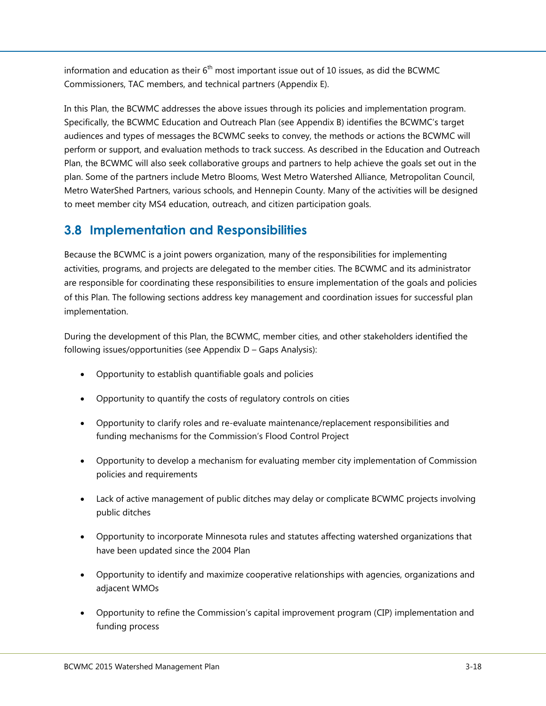information and education as their  $6<sup>th</sup>$  most important issue out of 10 issues, as did the BCWMC Commissioners, TAC members, and technical partners (Appendix E).

In this Plan, the BCWMC addresses the above issues through its policies and implementation program. Specifically, the BCWMC Education and Outreach Plan (see Appendix B) identifies the BCWMC's target audiences and types of messages the BCWMC seeks to convey, the methods or actions the BCWMC will perform or support, and evaluation methods to track success. As described in the Education and Outreach Plan, the BCWMC will also seek collaborative groups and partners to help achieve the goals set out in the plan. Some of the partners include Metro Blooms, West Metro Watershed Alliance, Metropolitan Council, Metro WaterShed Partners, various schools, and Hennepin County. Many of the activities will be designed to meet member city MS4 education, outreach, and citizen participation goals.

## <span id="page-19-0"></span>**3.8 Implementation and Responsibilities**

Because the BCWMC is a joint powers organization, many of the responsibilities for implementing activities, programs, and projects are delegated to the member cities. The BCWMC and its administrator are responsible for coordinating these responsibilities to ensure implementation of the goals and policies of this Plan. The following sections address key management and coordination issues for successful plan implementation.

During the development of this Plan, the BCWMC, member cities, and other stakeholders identified the following issues/opportunities (see Appendix D – Gaps Analysis):

- Opportunity to establish quantifiable goals and policies
- Opportunity to quantify the costs of regulatory controls on cities
- Opportunity to clarify roles and re-evaluate maintenance/replacement responsibilities and funding mechanisms for the Commission's Flood Control Project
- Opportunity to develop a mechanism for evaluating member city implementation of Commission policies and requirements
- Lack of active management of public ditches may delay or complicate BCWMC projects involving public ditches
- Opportunity to incorporate Minnesota rules and statutes affecting watershed organizations that have been updated since the 2004 Plan
- Opportunity to identify and maximize cooperative relationships with agencies, organizations and adjacent WMOs
- Opportunity to refine the Commission's capital improvement program (CIP) implementation and funding process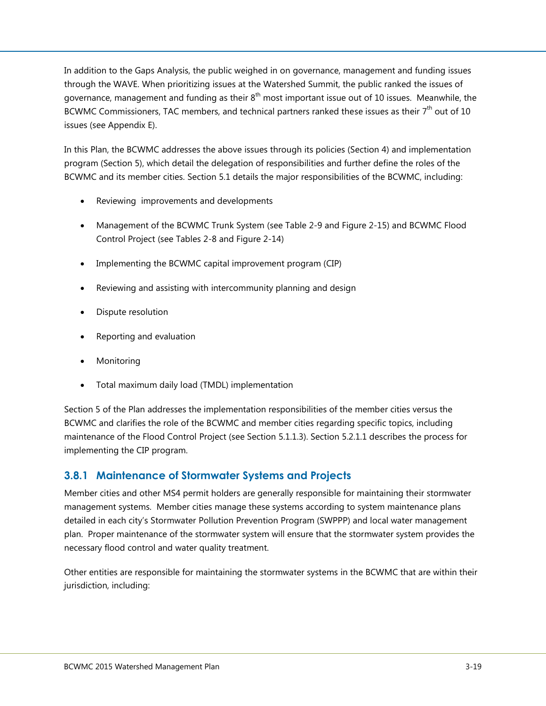In addition to the Gaps Analysis, the public weighed in on governance, management and funding issues through the WAVE. When prioritizing issues at the Watershed Summit, the public ranked the issues of governance, management and funding as their  $8^{\text{th}}$  most important issue out of 10 issues. Meanwhile, the BCWMC Commissioners, TAC members, and technical partners ranked these issues as their  $7<sup>th</sup>$  out of 10 issues (see Appendix E).

In this Plan, the BCWMC addresses the above issues through its policies (Section 4) and implementation program (Section 5), which detail the delegation of responsibilities and further define the roles of the BCWMC and its member cities. Section 5.1 details the major responsibilities of the BCWMC, including:

- Reviewing improvements and developments
- Management of the BCWMC Trunk System (see Table 2-9 and Figure 2-15) and BCWMC Flood Control Project (see Tables 2-8 and Figure 2-14)
- Implementing the BCWMC capital improvement program (CIP)
- Reviewing and assisting with intercommunity planning and design
- Dispute resolution
- Reporting and evaluation
- Monitoring
- Total maximum daily load (TMDL) implementation

Section 5 of the Plan addresses the implementation responsibilities of the member cities versus the BCWMC and clarifies the role of the BCWMC and member cities regarding specific topics, including maintenance of the Flood Control Project (see Section 5.1.1.3). Section 5.2.1.1 describes the process for implementing the CIP program.

#### <span id="page-20-0"></span>**3.8.1 Maintenance of Stormwater Systems and Projects**

Member cities and other MS4 permit holders are generally responsible for maintaining their stormwater management systems. Member cities manage these systems according to system maintenance plans detailed in each city's Stormwater Pollution Prevention Program (SWPPP) and local water management plan. Proper maintenance of the stormwater system will ensure that the stormwater system provides the necessary flood control and water quality treatment.

Other entities are responsible for maintaining the stormwater systems in the BCWMC that are within their jurisdiction, including: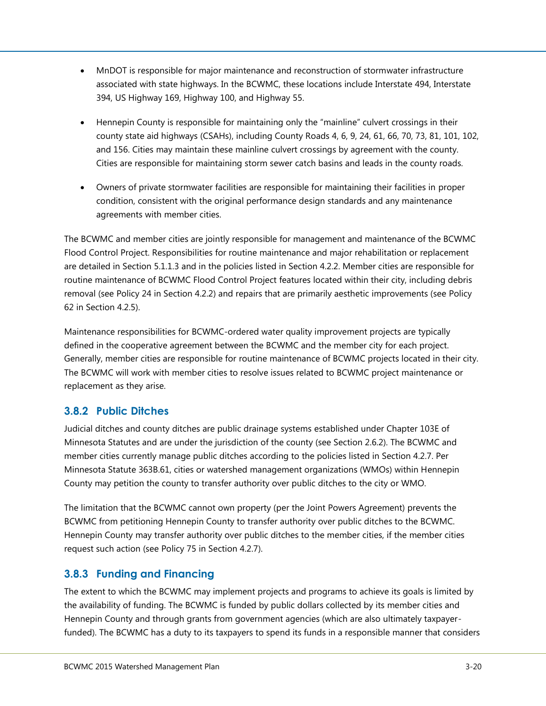- MnDOT is responsible for major maintenance and reconstruction of stormwater infrastructure associated with state highways. In the BCWMC, these locations include Interstate 494, Interstate 394, US Highway 169, Highway 100, and Highway 55.
- Hennepin County is responsible for maintaining only the "mainline" culvert crossings in their county state aid highways (CSAHs), including County Roads 4, 6, 9, 24, 61, 66, 70, 73, 81, 101, 102, and 156. Cities may maintain these mainline culvert crossings by agreement with the county. Cities are responsible for maintaining storm sewer catch basins and leads in the county roads.
- Owners of private stormwater facilities are responsible for maintaining their facilities in proper condition, consistent with the original performance design standards and any maintenance agreements with member cities.

The BCWMC and member cities are jointly responsible for management and maintenance of the BCWMC Flood Control Project. Responsibilities for routine maintenance and major rehabilitation or replacement are detailed in Section 5.1.1.3 and in the policies listed in Section 4.2.2. Member cities are responsible for routine maintenance of BCWMC Flood Control Project features located within their city, including debris removal (see Policy 24 in Section 4.2.2) and repairs that are primarily aesthetic improvements (see Policy 62 in Section 4.2.5).

Maintenance responsibilities for BCWMC-ordered water quality improvement projects are typically defined in the cooperative agreement between the BCWMC and the member city for each project. Generally, member cities are responsible for routine maintenance of BCWMC projects located in their city. The BCWMC will work with member cities to resolve issues related to BCWMC project maintenance or replacement as they arise.

#### <span id="page-21-0"></span>**3.8.2 Public Ditches**

Judicial ditches and county ditches are public drainage systems established under Chapter 103E of Minnesota Statutes and are under the jurisdiction of the county (see Section 2.6.2). The BCWMC and member cities currently manage public ditches according to the policies listed in Section 4.2.7. Per Minnesota Statute 363B.61, cities or watershed management organizations (WMOs) within Hennepin County may petition the county to transfer authority over public ditches to the city or WMO.

The limitation that the BCWMC cannot own property (per the Joint Powers Agreement) prevents the BCWMC from petitioning Hennepin County to transfer authority over public ditches to the BCWMC. Hennepin County may transfer authority over public ditches to the member cities, if the member cities request such action (see Policy 75 in Section 4.2.7).

#### <span id="page-21-1"></span>**3.8.3 Funding and Financing**

The extent to which the BCWMC may implement projects and programs to achieve its goals is limited by the availability of funding. The BCWMC is funded by public dollars collected by its member cities and Hennepin County and through grants from government agencies (which are also ultimately taxpayerfunded). The BCWMC has a duty to its taxpayers to spend its funds in a responsible manner that considers